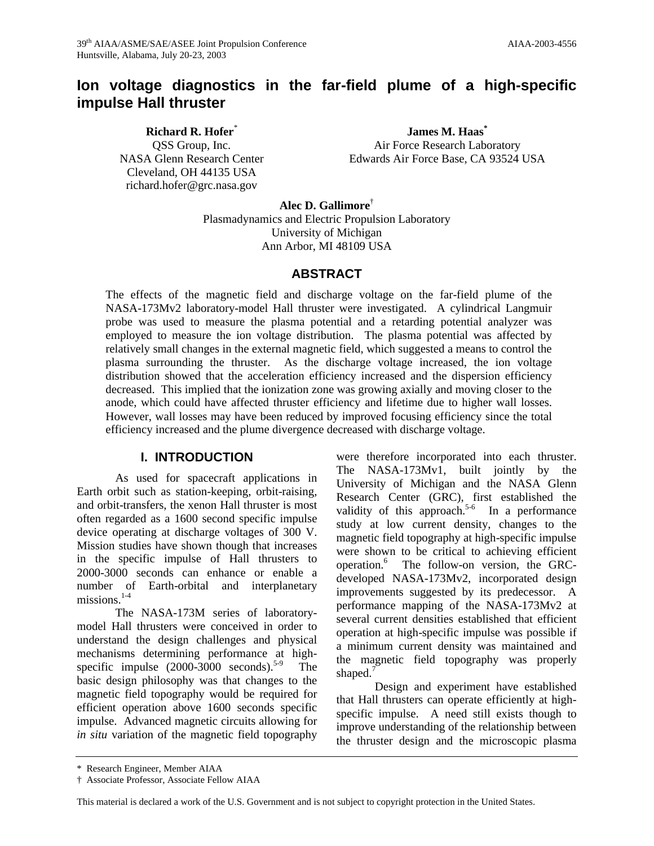# **Ion voltage diagnostics in the far-field plume of a high-specific impulse Hall thruster**

**Richard R. Hofer**\* QSS Group, Inc. NASA Glenn Research Center Cleveland, OH 44135 USA richard.hofer@grc.nasa.gov

**James M. Haas\*** Air Force Research Laboratory Edwards Air Force Base, CA 93524 USA

**Alec D. Gallimore**† Plasmadynamics and Electric Propulsion Laboratory University of Michigan Ann Arbor, MI 48109 USA

# **ABSTRACT**

The effects of the magnetic field and discharge voltage on the far-field plume of the NASA-173Mv2 laboratory-model Hall thruster were investigated. A cylindrical Langmuir probe was used to measure the plasma potential and a retarding potential analyzer was employed to measure the ion voltage distribution. The plasma potential was affected by relatively small changes in the external magnetic field, which suggested a means to control the plasma surrounding the thruster. As the discharge voltage increased, the ion voltage distribution showed that the acceleration efficiency increased and the dispersion efficiency decreased. This implied that the ionization zone was growing axially and moving closer to the anode, which could have affected thruster efficiency and lifetime due to higher wall losses. However, wall losses may have been reduced by improved focusing efficiency since the total efficiency increased and the plume divergence decreased with discharge voltage.

### **I. INTRODUCTION**

As used for spacecraft applications in Earth orbit such as station-keeping, orbit-raising, and orbit-transfers, the xenon Hall thruster is most often regarded as a 1600 second specific impulse device operating at discharge voltages of 300 V. Mission studies have shown though that increases in the specific impulse of Hall thrusters to 2000-3000 seconds can enhance or enable a number of Earth-orbital and interplanetary missions. $1-4$ 

The NASA-173M series of laboratorymodel Hall thrusters were conceived in order to understand the design challenges and physical mechanisms determining performance at highspecific impulse  $(2000-3000 \text{ seconds})^{5.9}$  The basic design philosophy was that changes to the magnetic field topography would be required for efficient operation above 1600 seconds specific impulse. Advanced magnetic circuits allowing for *in situ* variation of the magnetic field topography were therefore incorporated into each thruster. The NASA-173Mv1, built jointly by the University of Michigan and the NASA Glenn Research Center (GRC), first established the validity of this approach.<sup>5-6</sup> In a performance study at low current density, changes to the magnetic field topography at high-specific impulse were shown to be critical to achieving efficient operation.<sup>6</sup> The follow-on version, the GRCdeveloped NASA-173Mv2, incorporated design improvements suggested by its predecessor. A performance mapping of the NASA-173Mv2 at several current densities established that efficient operation at high-specific impulse was possible if a minimum current density was maintained and the magnetic field topography was properly shaped.<sup>7</sup>

Design and experiment have established that Hall thrusters can operate efficiently at highspecific impulse. A need still exists though to improve understanding of the relationship between the thruster design and the microscopic plasma

This material is declared a work of the U.S. Government and is not subject to copyright protection in the United States.

<sup>\*</sup> Research Engineer, Member AIAA

<sup>†</sup> Associate Professor, Associate Fellow AIAA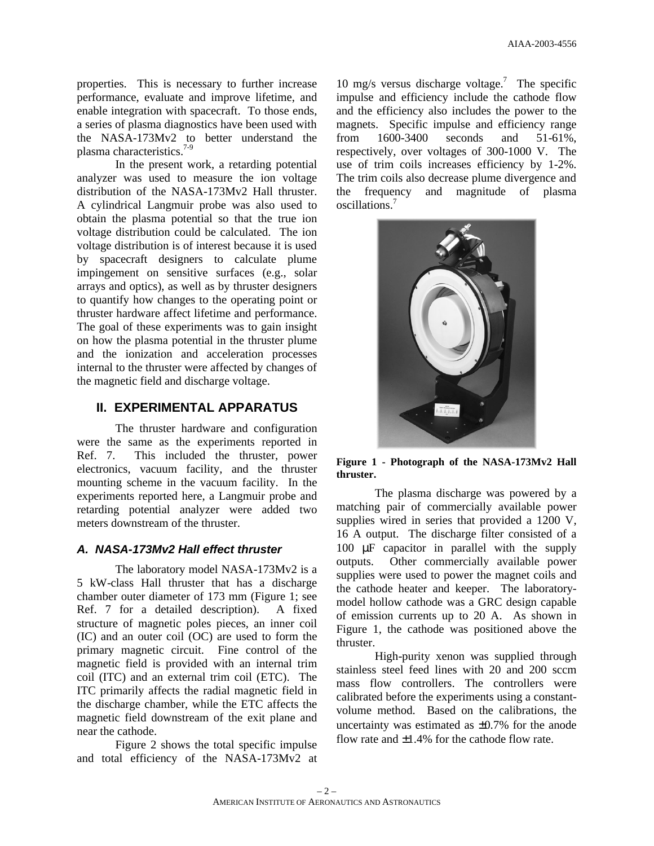properties. This is necessary to further increase performance, evaluate and improve lifetime, and enable integration with spacecraft. To those ends, a series of plasma diagnostics have been used with the NASA-173Mv2 to better understand the plasma characteristics. $7-9$ 

In the present work, a retarding potential analyzer was used to measure the ion voltage distribution of the NASA-173Mv2 Hall thruster. A cylindrical Langmuir probe was also used to obtain the plasma potential so that the true ion voltage distribution could be calculated. The ion voltage distribution is of interest because it is used by spacecraft designers to calculate plume impingement on sensitive surfaces (e.g., solar arrays and optics), as well as by thruster designers to quantify how changes to the operating point or thruster hardware affect lifetime and performance. The goal of these experiments was to gain insight on how the plasma potential in the thruster plume and the ionization and acceleration processes internal to the thruster were affected by changes of the magnetic field and discharge voltage.

# **II. EXPERIMENTAL APPARATUS**

The thruster hardware and configuration were the same as the experiments reported in Ref. 7. This included the thruster, power electronics, vacuum facility, and the thruster mounting scheme in the vacuum facility. In the experiments reported here, a Langmuir probe and retarding potential analyzer were added two meters downstream of the thruster.

### *A. NASA-173Mv2 Hall effect thruster*

The laboratory model NASA-173Mv2 is a 5 kW-class Hall thruster that has a discharge chamber outer diameter of 173 mm (Figure 1; see Ref. 7 for a detailed description). A fixed structure of magnetic poles pieces, an inner coil (IC) and an outer coil (OC) are used to form the primary magnetic circuit. Fine control of the magnetic field is provided with an internal trim coil (ITC) and an external trim coil (ETC). The ITC primarily affects the radial magnetic field in the discharge chamber, while the ETC affects the magnetic field downstream of the exit plane and near the cathode.

Figure 2 shows the total specific impulse and total efficiency of the NASA-173Mv2 at

10 mg/s versus discharge voltage.<sup>7</sup> The specific impulse and efficiency include the cathode flow and the efficiency also includes the power to the magnets. Specific impulse and efficiency range from 1600-3400 seconds and 51-61%, respectively, over voltages of 300-1000 V. The use of trim coils increases efficiency by 1-2%. The trim coils also decrease plume divergence and the frequency and magnitude of plasma oscillations.<sup>7</sup>



**Figure 1 - Photograph of the NASA-173Mv2 Hall thruster.**

The plasma discharge was powered by a matching pair of commercially available power supplies wired in series that provided a 1200 V, 16 A output. The discharge filter consisted of a 100 μF capacitor in parallel with the supply outputs. Other commercially available power supplies were used to power the magnet coils and the cathode heater and keeper. The laboratorymodel hollow cathode was a GRC design capable of emission currents up to 20 A. As shown in Figure 1, the cathode was positioned above the thruster.

High-purity xenon was supplied through stainless steel feed lines with 20 and 200 sccm mass flow controllers. The controllers were calibrated before the experiments using a constantvolume method. Based on the calibrations, the uncertainty was estimated as ±0.7% for the anode flow rate and  $\pm 1.4\%$  for the cathode flow rate.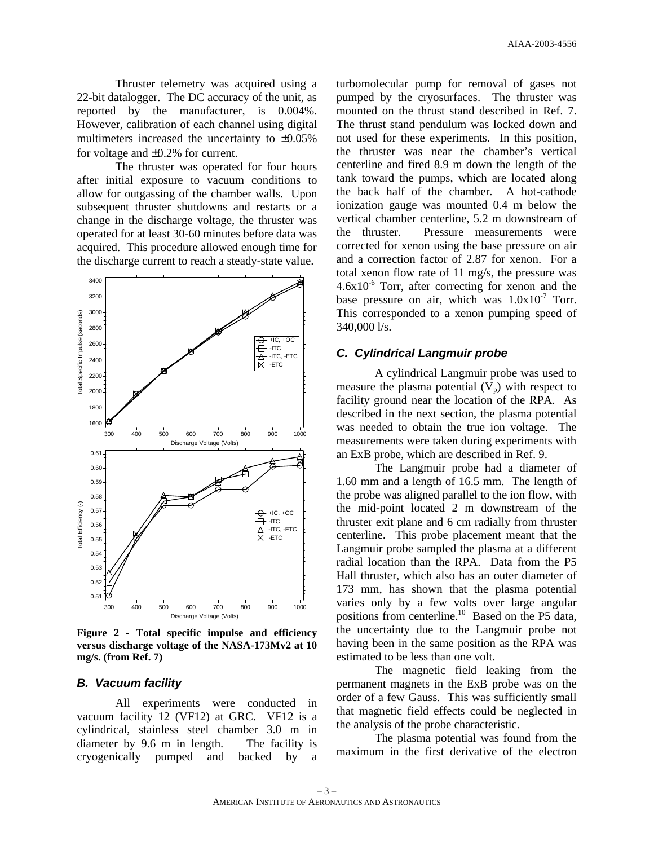Thruster telemetry was acquired using a 22-bit datalogger. The DC accuracy of the unit, as reported by the manufacturer, is 0.004%. However, calibration of each channel using digital multimeters increased the uncertainty to ±0.05% for voltage and ±0.2% for current.

The thruster was operated for four hours after initial exposure to vacuum conditions to allow for outgassing of the chamber walls. Upon subsequent thruster shutdowns and restarts or a change in the discharge voltage, the thruster was operated for at least 30-60 minutes before data was acquired. This procedure allowed enough time for the discharge current to reach a steady-state value.



**Figure 2 - Total specific impulse and efficiency versus discharge voltage of the NASA-173Mv2 at 10 mg/s. (from Ref. 7)**

### *B. Vacuum facility*

All experiments were conducted in vacuum facility 12 (VF12) at GRC. VF12 is a cylindrical, stainless steel chamber 3.0 m in diameter by 9.6 m in length. The facility is cryogenically pumped and backed by a

turbomolecular pump for removal of gases not pumped by the cryosurfaces. The thruster was mounted on the thrust stand described in Ref. 7. The thrust stand pendulum was locked down and not used for these experiments. In this position, the thruster was near the chamber's vertical centerline and fired 8.9 m down the length of the tank toward the pumps, which are located along the back half of the chamber. A hot-cathode ionization gauge was mounted 0.4 m below the vertical chamber centerline, 5.2 m downstream of the thruster. Pressure measurements were corrected for xenon using the base pressure on air and a correction factor of 2.87 for xenon. For a total xenon flow rate of 11 mg/s, the pressure was  $4.6x10^{-6}$  Torr, after correcting for xenon and the base pressure on air, which was  $1.0x10^{-7}$  Torr. This corresponded to a xenon pumping speed of 340,000 l/s.

### *C. Cylindrical Langmuir probe*

A cylindrical Langmuir probe was used to measure the plasma potential  $(V_p)$  with respect to facility ground near the location of the RPA. As described in the next section, the plasma potential was needed to obtain the true ion voltage. The measurements were taken during experiments with an ExB probe, which are described in Ref. 9.

The Langmuir probe had a diameter of 1.60 mm and a length of 16.5 mm. The length of the probe was aligned parallel to the ion flow, with the mid-point located 2 m downstream of the thruster exit plane and 6 cm radially from thruster centerline. This probe placement meant that the Langmuir probe sampled the plasma at a different radial location than the RPA. Data from the P5 Hall thruster, which also has an outer diameter of 173 mm, has shown that the plasma potential varies only by a few volts over large angular positions from centerline.<sup>10</sup> Based on the P5 data, the uncertainty due to the Langmuir probe not having been in the same position as the RPA was estimated to be less than one volt.

The magnetic field leaking from the permanent magnets in the ExB probe was on the order of a few Gauss. This was sufficiently small that magnetic field effects could be neglected in the analysis of the probe characteristic.

The plasma potential was found from the maximum in the first derivative of the electron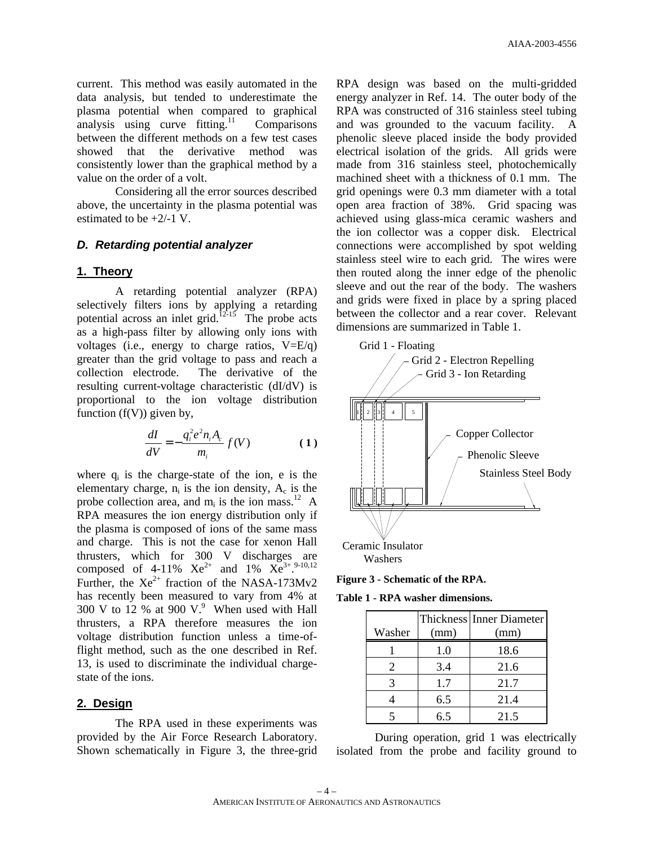current. This method was easily automated in the data analysis, but tended to underestimate the plasma potential when compared to graphical analysis using curve  $fitting.<sup>11</sup>$  Comparisons between the different methods on a few test cases showed that the derivative method was consistently lower than the graphical method by a value on the order of a volt.

Considering all the error sources described above, the uncertainty in the plasma potential was estimated to be  $+2/-1$  V.

### *D. Retarding potential analyzer*

#### **1. Theory**

A retarding potential analyzer (RPA) selectively filters ions by applying a retarding potential across an inlet grid.<sup>12-15</sup> The probe acts as a high-pass filter by allowing only ions with voltages (i.e., energy to charge ratios, V=E/q) greater than the grid voltage to pass and reach a collection electrode. The derivative of the resulting current-voltage characteristic (dI/dV) is proportional to the ion voltage distribution function  $(f(V))$  given by,

$$
\frac{dI}{dV} = -\frac{q_i^2 e^2 n_i A_c}{m_i} f(V) \tag{1}
$$

where  $q_i$  is the charge-state of the ion, e is the elementary charge,  $n_i$  is the ion density,  $A_c$  is the probe collection area, and  $m_i$  is the ion mass.<sup>12</sup> A RPA measures the ion energy distribution only if the plasma is composed of ions of the same mass and charge. This is not the case for xenon Hall thrusters, which for 300 V discharges are composed of 4-11%  $Xe^{2+}$  and 1%  $Xe^{3+}$ .  $9-10,12$ Further, the  $Xe^{2+}$  fraction of the NASA-173Mv2 has recently been measured to vary from 4% at 300 V to 12 % at 900 V. $9$  When used with Hall thrusters, a RPA therefore measures the ion voltage distribution function unless a time-offlight method, such as the one described in Ref. 13, is used to discriminate the individual chargestate of the ions.

### **2. Design**

The RPA used in these experiments was provided by the Air Force Research Laboratory. Shown schematically in Figure 3, the three-grid RPA design was based on the multi-gridded energy analyzer in Ref. 14. The outer body of the RPA was constructed of 316 stainless steel tubing and was grounded to the vacuum facility. A phenolic sleeve placed inside the body provided electrical isolation of the grids. All grids were made from 316 stainless steel, photochemically machined sheet with a thickness of 0.1 mm. The grid openings were 0.3 mm diameter with a total open area fraction of 38%. Grid spacing was achieved using glass-mica ceramic washers and the ion collector was a copper disk. Electrical connections were accomplished by spot welding stainless steel wire to each grid. The wires were then routed along the inner edge of the phenolic sleeve and out the rear of the body. The washers and grids were fixed in place by a spring placed between the collector and a rear cover. Relevant dimensions are summarized in Table 1.



**Figure 3 - Schematic of the RPA.**

**Table 1 - RPA washer dimensions.**

|                       |      | <b>Thickness Inner Diameter</b> |  |
|-----------------------|------|---------------------------------|--|
| Washer                | (mm) | (mm)                            |  |
|                       | 1.0  | 18.6                            |  |
| $\mathcal{D}_{\cdot}$ | 3.4  | 21.6                            |  |
|                       | 1.7  | 21.7                            |  |
|                       | 6.5  | 21.4                            |  |
|                       | 65   | 21.5                            |  |

During operation, grid 1 was electrically isolated from the probe and facility ground to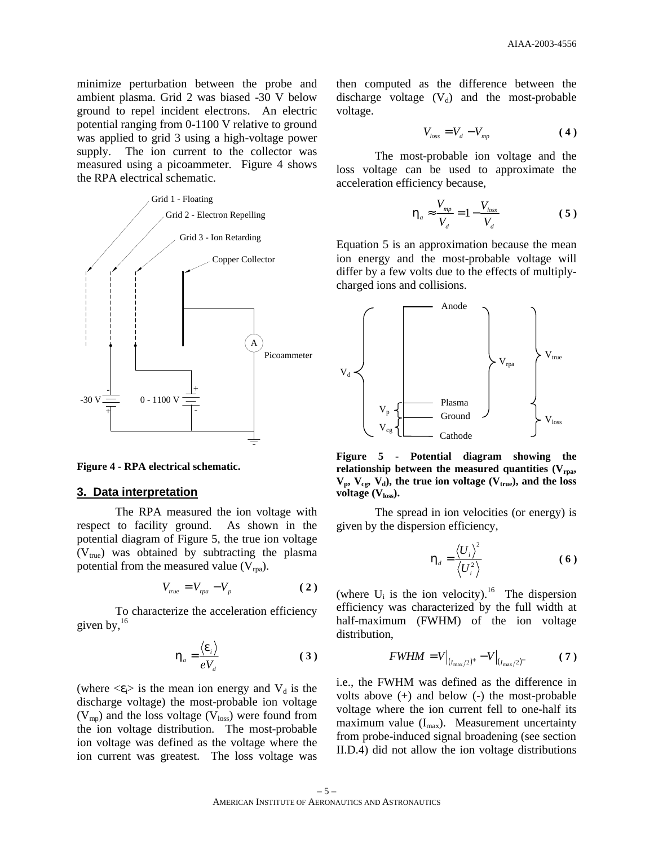minimize perturbation between the probe and ambient plasma. Grid 2 was biased -30 V below ground to repel incident electrons. An electric potential ranging from 0-1100 V relative to ground was applied to grid 3 using a high-voltage power supply. The ion current to the collector was measured using a picoammeter. Figure 4 shows the RPA electrical schematic.



**Figure 4 - RPA electrical schematic.**

#### **3. Data interpretation**

The RPA measured the ion voltage with respect to facility ground. As shown in the potential diagram of Figure 5, the true ion voltage  $(V<sub>true</sub>)$  was obtained by subtracting the plasma potential from the measured value  $(V_{\text{ma}})$ .

$$
V_{true} = V_{rpa} - V_p \tag{2}
$$

To characterize the acceleration efficiency given by,  $16$ 

$$
\boldsymbol{h}_a = \frac{\langle \boldsymbol{e}_i \rangle}{eV_d} \tag{3}
$$

(where  $\langle \varepsilon \rangle$  is the mean ion energy and  $V_d$  is the discharge voltage) the most-probable ion voltage  $(V_{mp})$  and the loss voltage  $(V_{loss})$  were found from the ion voltage distribution. The most-probable ion voltage was defined as the voltage where the ion current was greatest. The loss voltage was then computed as the difference between the discharge voltage  $(V_d)$  and the most-probable voltage.

$$
V_{loss} = V_d - V_{mp} \tag{4}
$$

The most-probable ion voltage and the loss voltage can be used to approximate the acceleration efficiency because,

$$
\boldsymbol{h}_a \approx \frac{V_{mp}}{V_d} = 1 - \frac{V_{loss}}{V_d} \tag{5}
$$

Equation 5 is an approximation because the mean ion energy and the most-probable voltage will differ by a few volts due to the effects of multiplycharged ions and collisions.



**Figure 5 - Potential diagram showing the relationship between the measured quantities (Vrpa,**   $V_p$ ,  $V_{cg}$ ,  $V_d$ ), the true ion voltage ( $V_{true}$ ), and the loss **voltage (Vloss).**

The spread in ion velocities (or energy) is given by the dispersion efficiency,

$$
\boldsymbol{h}_d = \frac{\langle \boldsymbol{U}_i \rangle^2}{\langle \boldsymbol{U}_i^2 \rangle} \tag{6}
$$

(where  $U_i$  is the ion velocity).<sup>16</sup> The dispersion efficiency was characterized by the full width at half-maximum (FWHM) of the ion voltage distribution,

$$
FWHM = V\Big|_{(I_{\text{max}}/2)^+} - V\Big|_{(I_{\text{max}}/2)^-}
$$
 (7)

i.e., the FWHM was defined as the difference in volts above (+) and below (-) the most-probable voltage where the ion current fell to one-half its maximum value  $(I_{\text{max}})$ . Measurement uncertainty from probe-induced signal broadening (see section II.D.4) did not allow the ion voltage distributions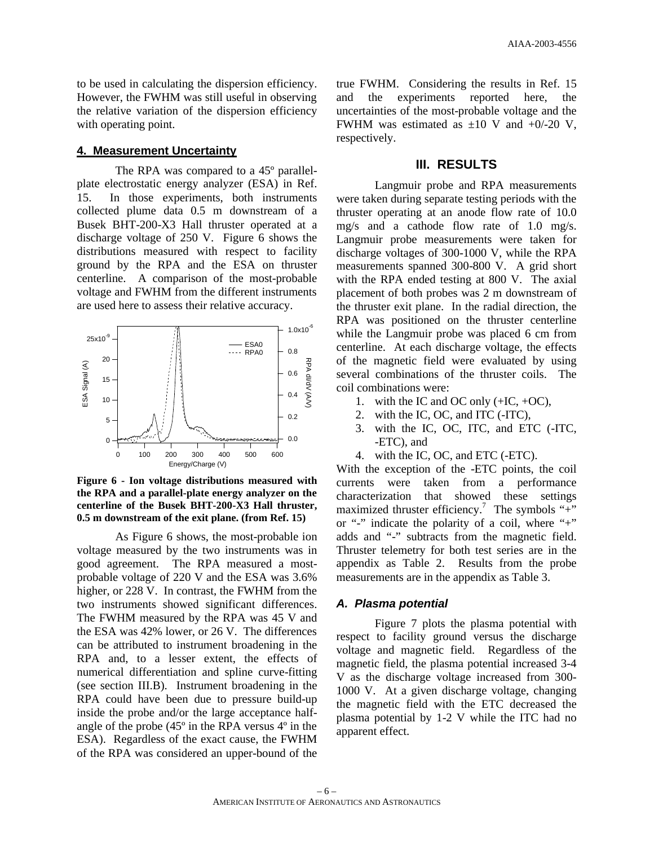to be used in calculating the dispersion efficiency. However, the FWHM was still useful in observing the relative variation of the dispersion efficiency with operating point.

#### **4. Measurement Uncertainty**

The RPA was compared to a 45º parallelplate electrostatic energy analyzer (ESA) in Ref. 15. In those experiments, both instruments collected plume data 0.5 m downstream of a Busek BHT-200-X3 Hall thruster operated at a discharge voltage of 250 V. Figure 6 shows the distributions measured with respect to facility ground by the RPA and the ESA on thruster centerline. A comparison of the most-probable voltage and FWHM from the different instruments are used here to assess their relative accuracy.



**Figure 6 - Ion voltage distributions measured with the RPA and a parallel-plate energy analyzer on the centerline of the Busek BHT-200-X3 Hall thruster, 0.5 m downstream of the exit plane. (from Ref. 15)**

As Figure 6 shows, the most-probable ion voltage measured by the two instruments was in good agreement. The RPA measured a mostprobable voltage of 220 V and the ESA was 3.6% higher, or 228 V. In contrast, the FWHM from the two instruments showed significant differences. The FWHM measured by the RPA was 45 V and the ESA was 42% lower, or 26 V. The differences can be attributed to instrument broadening in the RPA and, to a lesser extent, the effects of numerical differentiation and spline curve-fitting (see section III.B). Instrument broadening in the RPA could have been due to pressure build-up inside the probe and/or the large acceptance halfangle of the probe (45º in the RPA versus 4º in the ESA). Regardless of the exact cause, the FWHM of the RPA was considered an upper-bound of the

true FWHM. Considering the results in Ref. 15 and the experiments reported here, the uncertainties of the most-probable voltage and the FWHM was estimated as  $\pm 10$  V and  $+0/-20$  V, respectively.

# **III. RESULTS**

Langmuir probe and RPA measurements were taken during separate testing periods with the thruster operating at an anode flow rate of 10.0 mg/s and a cathode flow rate of 1.0 mg/s. Langmuir probe measurements were taken for discharge voltages of 300-1000 V, while the RPA measurements spanned 300-800 V. A grid short with the RPA ended testing at 800 V. The axial placement of both probes was 2 m downstream of the thruster exit plane. In the radial direction, the RPA was positioned on the thruster centerline while the Langmuir probe was placed 6 cm from centerline. At each discharge voltage, the effects of the magnetic field were evaluated by using several combinations of the thruster coils. The coil combinations were:

- 1. with the IC and OC only  $(+IC, +OC)$ ,
- 2. with the IC, OC, and ITC (-ITC),
- 3. with the IC, OC, ITC, and ETC (-ITC, -ETC), and
- 4. with the IC, OC, and ETC (-ETC).

With the exception of the -ETC points, the coil currents were taken from a performance characterization that showed these settings maximized thruster efficiency.<sup>7</sup> The symbols "+" or "-" indicate the polarity of a coil, where "+" adds and "-" subtracts from the magnetic field. Thruster telemetry for both test series are in the appendix as Table 2. Results from the probe measurements are in the appendix as Table 3.

#### *A. Plasma potential*

Figure 7 plots the plasma potential with respect to facility ground versus the discharge voltage and magnetic field. Regardless of the magnetic field, the plasma potential increased 3-4 V as the discharge voltage increased from 300- 1000 V. At a given discharge voltage, changing the magnetic field with the ETC decreased the plasma potential by 1-2 V while the ITC had no apparent effect.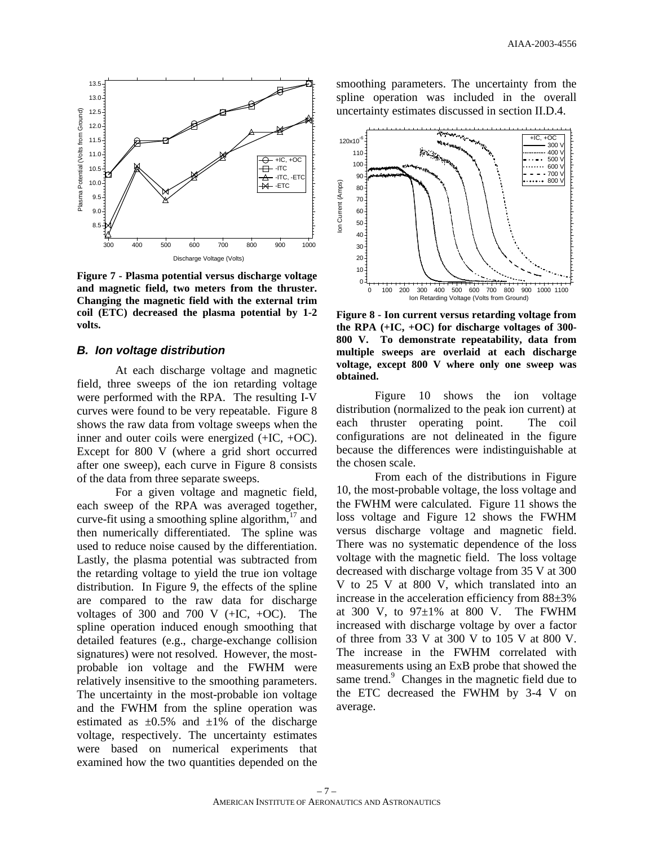

**Figure 7 - Plasma potential versus discharge voltage and magnetic field, two meters from the thruster. Changing the magnetic field with the external trim coil (ETC) decreased the plasma potential by 1-2 volts.**

#### *B. Ion voltage distribution*

At each discharge voltage and magnetic field, three sweeps of the ion retarding voltage were performed with the RPA. The resulting I-V curves were found to be very repeatable. Figure 8 shows the raw data from voltage sweeps when the inner and outer coils were energized (+IC, +OC). Except for 800 V (where a grid short occurred after one sweep), each curve in Figure 8 consists of the data from three separate sweeps.

For a given voltage and magnetic field, each sweep of the RPA was averaged together, curve-fit using a smoothing spline algorithm, $17$  and then numerically differentiated. The spline was used to reduce noise caused by the differentiation. Lastly, the plasma potential was subtracted from the retarding voltage to yield the true ion voltage distribution. In Figure 9, the effects of the spline are compared to the raw data for discharge voltages of 300 and 700 V  $(+IC, +OC)$ . The spline operation induced enough smoothing that detailed features (e.g., charge-exchange collision signatures) were not resolved. However, the mostprobable ion voltage and the FWHM were relatively insensitive to the smoothing parameters. The uncertainty in the most-probable ion voltage and the FWHM from the spline operation was estimated as  $\pm 0.5\%$  and  $\pm 1\%$  of the discharge voltage, respectively. The uncertainty estimates were based on numerical experiments that examined how the two quantities depended on the

smoothing parameters. The uncertainty from the spline operation was included in the overall uncertainty estimates discussed in section II.D.4.



**Figure 8 - Ion current versus retarding voltage from the RPA (+IC, +OC) for discharge voltages of 300- 800 V. To demonstrate repeatability, data from multiple sweeps are overlaid at each discharge voltage, except 800 V where only one sweep was obtained.**

Figure 10 shows the ion voltage distribution (normalized to the peak ion current) at each thruster operating point. The coil configurations are not delineated in the figure because the differences were indistinguishable at the chosen scale.

From each of the distributions in Figure 10, the most-probable voltage, the loss voltage and the FWHM were calculated. Figure 11 shows the loss voltage and Figure 12 shows the FWHM versus discharge voltage and magnetic field. There was no systematic dependence of the loss voltage with the magnetic field. The loss voltage decreased with discharge voltage from 35 V at 300 V to 25 V at 800 V, which translated into an increase in the acceleration efficiency from 88±3% at 300 V, to  $97\pm1\%$  at 800 V. The FWHM increased with discharge voltage by over a factor of three from 33 V at 300 V to 105 V at 800 V. The increase in the FWHM correlated with measurements using an ExB probe that showed the same trend.<sup>9</sup> Changes in the magnetic field due to the ETC decreased the FWHM by 3-4 V on average.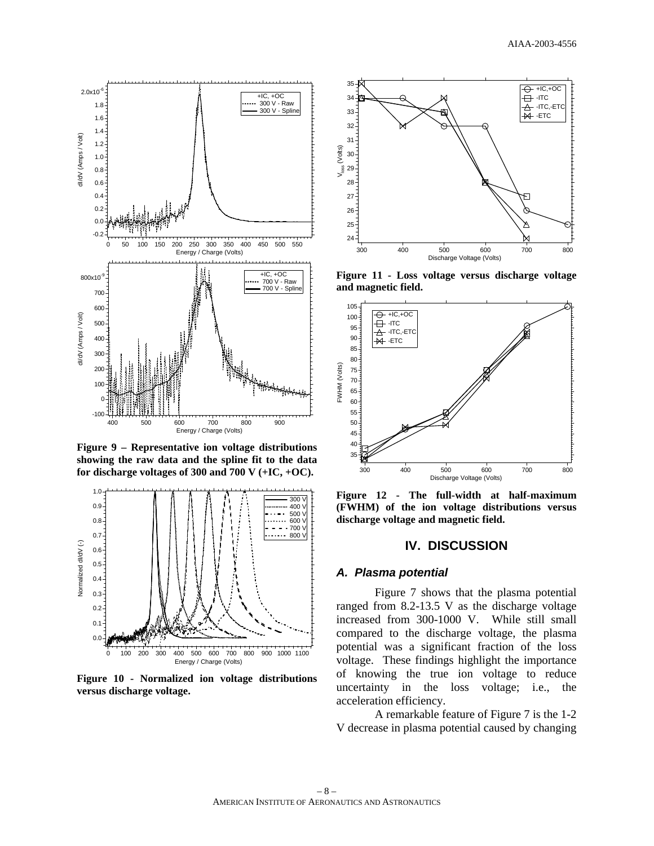

**Figure 9 – Representative ion voltage distributions showing the raw data and the spline fit to the data for discharge voltages of 300 and 700 V (+IC, +OC).**



**Figure 10 - Normalized ion voltage distributions versus discharge voltage.**



**Figure 11 - Loss voltage versus discharge voltage and magnetic field.** 



**Figure 12 - The full-width at half-maximum (FWHM) of the ion voltage distributions versus discharge voltage and magnetic field.** 

### **IV. DISCUSSION**

#### *A. Plasma potential*

Figure 7 shows that the plasma potential ranged from 8.2-13.5 V as the discharge voltage increased from 300-1000 V. While still small compared to the discharge voltage, the plasma potential was a significant fraction of the loss voltage. These findings highlight the importance of knowing the true ion voltage to reduce uncertainty in the loss voltage; i.e., the acceleration efficiency.

A remarkable feature of Figure 7 is the 1-2 V decrease in plasma potential caused by changing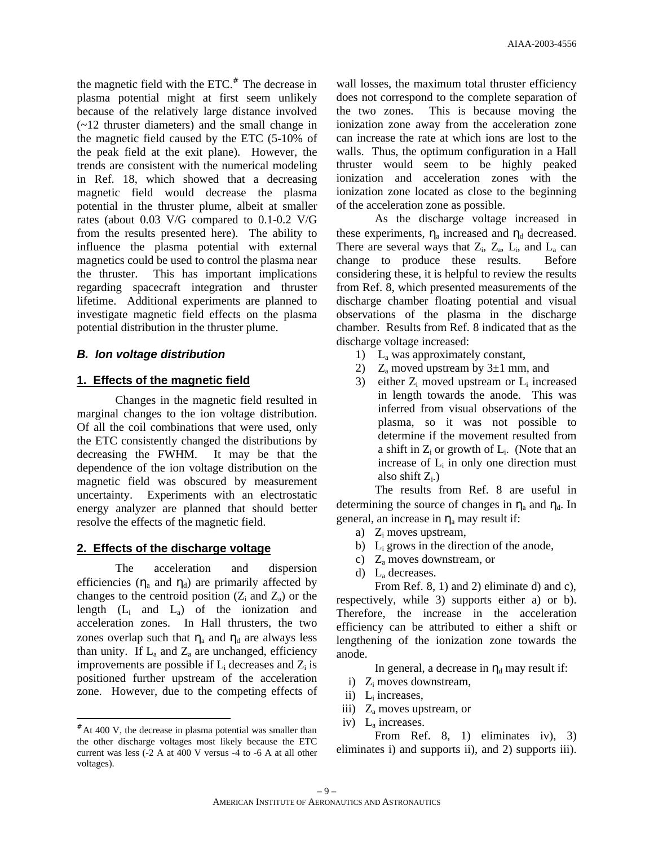the magnetic field with the  $ETC^*$ . The decrease in plasma potential might at first seem unlikely because of the relatively large distance involved (~12 thruster diameters) and the small change in the magnetic field caused by the ETC (5-10% of the peak field at the exit plane). However, the trends are consistent with the numerical modeling in Ref. 18, which showed that a decreasing magnetic field would decrease the plasma potential in the thruster plume, albeit at smaller rates (about 0.03 V/G compared to 0.1-0.2 V/G from the results presented here). The ability to influence the plasma potential with external magnetics could be used to control the plasma near the thruster. This has important implications regarding spacecraft integration and thruster lifetime. Additional experiments are planned to investigate magnetic field effects on the plasma potential distribution in the thruster plume.

### *B. Ion voltage distribution*

#### **1. Effects of the magnetic field**

Changes in the magnetic field resulted in marginal changes to the ion voltage distribution. Of all the coil combinations that were used, only the ETC consistently changed the distributions by decreasing the FWHM. It may be that the dependence of the ion voltage distribution on the magnetic field was obscured by measurement uncertainty. Experiments with an electrostatic energy analyzer are planned that should better resolve the effects of the magnetic field.

#### **2. Effects of the discharge voltage**

The acceleration and dispersion efficiencies  $(\eta_a$  and  $\eta_d$ ) are primarily affected by changes to the centroid position  $(Z_i \text{ and } Z_a)$  or the length  $(L_i$  and  $L_a$ ) of the ionization and acceleration zones. In Hall thrusters, the two zones overlap such that  $\eta_a$  and  $\eta_d$  are always less than unity. If  $L_a$  and  $Z_a$  are unchanged, efficiency improvements are possible if  $L_i$  decreases and  $Z_i$  is positioned further upstream of the acceleration zone. However, due to the competing effects of

-

wall losses, the maximum total thruster efficiency does not correspond to the complete separation of the two zones. This is because moving the ionization zone away from the acceleration zone can increase the rate at which ions are lost to the walls. Thus, the optimum configuration in a Hall thruster would seem to be highly peaked ionization and acceleration zones with the ionization zone located as close to the beginning of the acceleration zone as possible.

As the discharge voltage increased in these experiments,  $\eta_a$  increased and  $\eta_d$  decreased. There are several ways that  $Z_i$ ,  $Z_a$ ,  $L_i$ , and  $L_a$  can change to produce these results. Before considering these, it is helpful to review the results from Ref. 8, which presented measurements of the discharge chamber floating potential and visual observations of the plasma in the discharge chamber. Results from Ref. 8 indicated that as the discharge voltage increased:

- 1) L<sup>a</sup> was approximately constant,
- 2)  $Z_a$  moved upstream by  $3\pm 1$  mm, and
- 3) either  $Z_i$  moved upstream or  $L_i$  increased in length towards the anode. This was inferred from visual observations of the plasma, so it was not possible to determine if the movement resulted from a shift in  $Z_i$  or growth of  $L_i$ . (Note that an increase of  $L_i$  in only one direction must also shift  $Z_i$ .)

The results from Ref. 8 are useful in determining the source of changes in  $\eta_a$  and  $\eta_d$ . In general, an increase in  $\eta_a$  may result if:

- a) Z<sub>i</sub> moves upstream,
- b)  $L_i$  grows in the direction of the anode,
- c) Z<sup>a</sup> moves downstream, or
- d) L<sup>a</sup> decreases.

From Ref. 8, 1) and 2) eliminate d) and c), respectively, while 3) supports either a) or b). Therefore, the increase in the acceleration efficiency can be attributed to either a shift or lengthening of the ionization zone towards the anode.

In general, a decrease in  $\eta_d$  may result if:

- i)  $Z_i$  moves downstream,
- ii)  $L_i$  increases,
- iii)  $Z_a$  moves upstream, or
- iv) L<sup>a</sup> increases.

From Ref. 8, 1) eliminates iv), 3) eliminates i) and supports ii), and 2) supports iii).

<sup>#</sup> At 400 V, the decrease in plasma potential was smaller than the other discharge voltages most likely because the ETC current was less (-2 A at 400 V versus -4 to -6 A at all other voltages).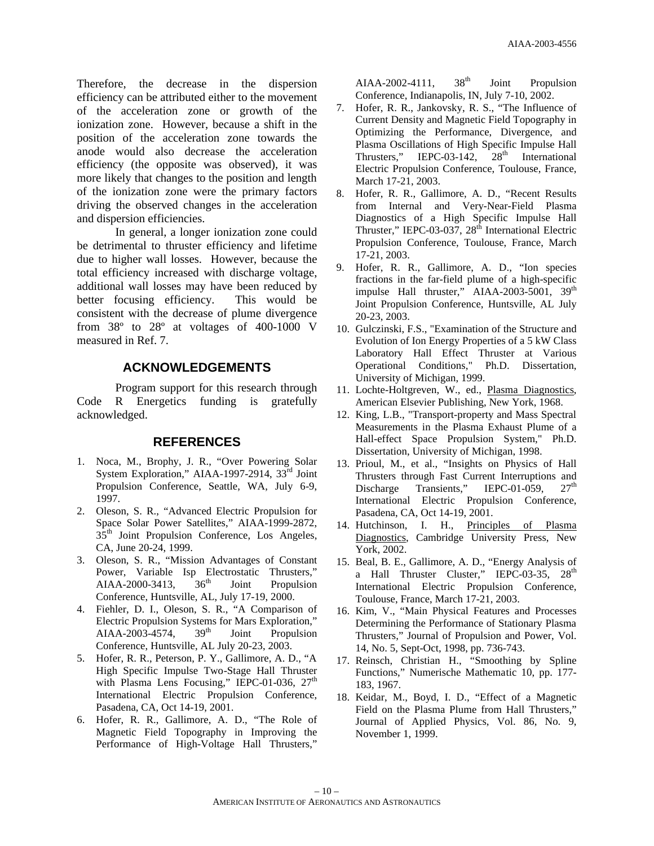Therefore, the decrease in the dispersion efficiency can be attributed either to the movement of the acceleration zone or growth of the ionization zone. However, because a shift in the position of the acceleration zone towards the anode would also decrease the acceleration efficiency (the opposite was observed), it was more likely that changes to the position and length of the ionization zone were the primary factors driving the observed changes in the acceleration and dispersion efficiencies.

In general, a longer ionization zone could be detrimental to thruster efficiency and lifetime due to higher wall losses. However, because the total efficiency increased with discharge voltage, additional wall losses may have been reduced by better focusing efficiency. This would be consistent with the decrease of plume divergence from 38º to 28º at voltages of 400-1000 V measured in Ref. 7.

### **ACKNOWLEDGEMENTS**

Program support for this research through Code R Energetics funding is gratefully acknowledged.

### **REFERENCES**

- 1. Noca, M., Brophy, J. R., "Over Powering Solar System Exploration," AIAA-1997-2914, 33<sup>rd</sup> Joint Propulsion Conference, Seattle, WA, July 6-9, 1997.
- 2. Oleson, S. R., "Advanced Electric Propulsion for Space Solar Power Satellites," AIAA-1999-2872, 35<sup>th</sup> Joint Propulsion Conference, Los Angeles, CA, June 20-24, 1999.
- 3. Oleson, S. R., "Mission Advantages of Constant Power, Variable Isp Electrostatic Thrusters,"  $AIAA-2000-3413$ ,  $36<sup>th</sup>$  Joint Propulsion Conference, Huntsville, AL, July 17-19, 2000.
- 4. Fiehler, D. I., Oleson, S. R., "A Comparison of Electric Propulsion Systems for Mars Exploration," AIAA-2003-4574,  $39<sup>th</sup>$  Joint Propulsion Conference, Huntsville, AL July 20-23, 2003.
- 5. Hofer, R. R., Peterson, P. Y., Gallimore, A. D., "A High Specific Impulse Two-Stage Hall Thruster with Plasma Lens Focusing," IEPC-01-036, 27<sup>th</sup> International Electric Propulsion Conference, Pasadena, CA, Oct 14-19, 2001.
- 6. Hofer, R. R., Gallimore, A. D., "The Role of Magnetic Field Topography in Improving the Performance of High-Voltage Hall Thrusters,"

AIAA-2002-4111,  $38<sup>th</sup>$  Joint Propulsion Conference, Indianapolis, IN, July 7-10, 2002.

- 7. Hofer, R. R., Jankovsky, R. S., "The Influence of Current Density and Magnetic Field Topography in Optimizing the Performance, Divergence, and Plasma Oscillations of High Specific Impulse Hall Thrusters," IEPC-03-142,  $28<sup>th</sup>$  International Electric Propulsion Conference, Toulouse, France, March 17-21, 2003.
- 8. Hofer, R. R., Gallimore, A. D., "Recent Results from Internal and Very-Near-Field Plasma Diagnostics of a High Specific Impulse Hall Thruster," IEPC-03-037,  $28<sup>th</sup>$  International Electric Propulsion Conference, Toulouse, France, March 17-21, 2003.
- 9. Hofer, R. R., Gallimore, A. D., "Ion species fractions in the far-field plume of a high-specific impulse Hall thruster," AIAA-2003-5001, 39<sup>th</sup> Joint Propulsion Conference, Huntsville, AL July 20-23, 2003.
- 10. Gulczinski, F.S., "Examination of the Structure and Evolution of Ion Energy Properties of a 5 kW Class Laboratory Hall Effect Thruster at Various Operational Conditions," Ph.D. Dissertation, University of Michigan, 1999.
- 11. Lochte-Holtgreven, W., ed., Plasma Diagnostics, American Elsevier Publishing, New York, 1968.
- 12. King, L.B., "Transport-property and Mass Spectral Measurements in the Plasma Exhaust Plume of a Hall-effect Space Propulsion System," Ph.D. Dissertation, University of Michigan, 1998.
- 13. Prioul, M., et al., "Insights on Physics of Hall Thrusters through Fast Current Interruptions and Discharge Transients," IEPC-01-059, 27<sup>th</sup> International Electric Propulsion Conference, Pasadena, CA, Oct 14-19, 2001.
- 14. Hutchinson, I. H., Principles of Plasma Diagnostics, Cambridge University Press, New York, 2002.
- 15. Beal, B. E., Gallimore, A. D., "Energy Analysis of a Hall Thruster Cluster," IEPC-03-35, 28<sup>th</sup> International Electric Propulsion Conference, Toulouse, France, March 17-21, 2003.
- 16. Kim, V., "Main Physical Features and Processes Determining the Performance of Stationary Plasma Thrusters," Journal of Propulsion and Power, Vol. 14, No. 5, Sept-Oct, 1998, pp. 736-743.
- 17. Reinsch, Christian H., "Smoothing by Spline Functions," Numerische Mathematic 10, pp. 177- 183, 1967.
- 18. Keidar, M., Boyd, I. D., "Effect of a Magnetic Field on the Plasma Plume from Hall Thrusters," Journal of Applied Physics, Vol. 86, No. 9, November 1, 1999.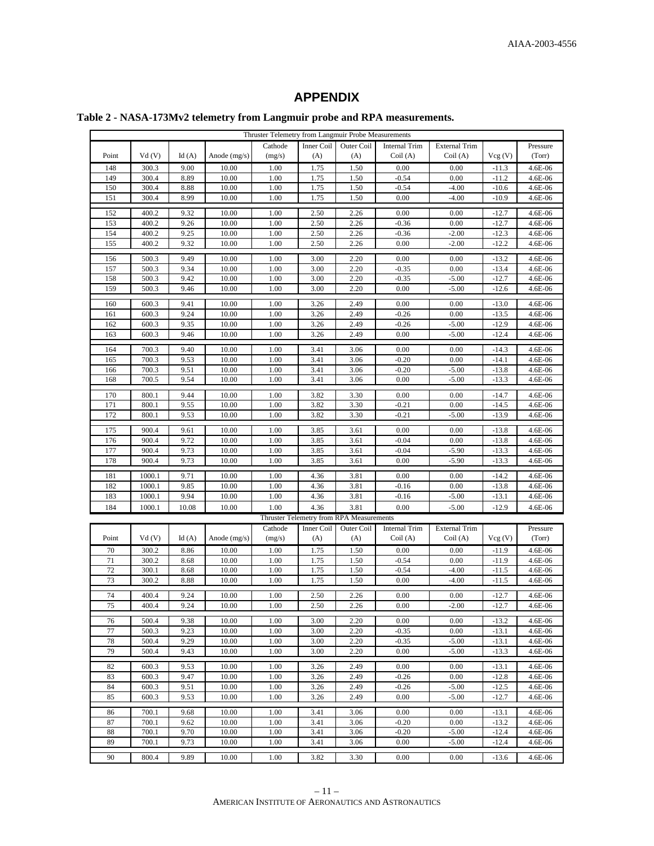# **APPENDIX**

# **Table 2 - NASA-173Mv2 telemetry from Langmuir probe and RPA measurements.**

| Thruster Telemetry from Langmuir Probe Measurements |        |       |                |         |            |                                          |                      |                      |         |          |
|-----------------------------------------------------|--------|-------|----------------|---------|------------|------------------------------------------|----------------------|----------------------|---------|----------|
|                                                     |        |       |                | Cathode | Inner Coil | Outer Coil                               | <b>Internal Trim</b> | <b>External Trim</b> |         | Pressure |
| Point                                               | Vd(V)  | Id(A) | Anode $(mg/s)$ | (mg/s)  | (A)        | (A)                                      | Coil(A)              | Coil(A)              | Vcg(V)  | (Torr)   |
| 148                                                 | 300.3  | 9.00  | 10.00          | 1.00    | 1.75       | 1.50                                     | 0.00                 | 0.00                 | $-11.3$ | 4.6E-06  |
| 149                                                 | 300.4  | 8.89  | 10.00          | 1.00    | 1.75       | 1.50                                     | $-0.54$              | 0.00                 | $-11.2$ | 4.6E-06  |
| 150                                                 | 300.4  | 8.88  | 10.00          | 1.00    | 1.75       | 1.50                                     | $-0.54$              | $-4.00$              | $-10.6$ | 4.6E-06  |
| 151                                                 | 300.4  | 8.99  | 10.00          | 1.00    | 1.75       | 1.50                                     | 0.00                 | $-4.00$              | $-10.9$ | 4.6E-06  |
|                                                     |        |       |                |         |            |                                          |                      |                      |         |          |
| 152                                                 | 400.2  | 9.32  | 10.00          | 1.00    | 2.50       | 2.26                                     | 0.00                 | 0.00                 | $-12.7$ | 4.6E-06  |
| 153                                                 | 400.2  | 9.26  | 10.00          | 1.00    | 2.50       | 2.26                                     | $-0.36$              | 0.00                 | $-12.7$ | 4.6E-06  |
| 154                                                 | 400.2  | 9.25  | 10.00          | 1.00    | 2.50       | 2.26                                     | $-0.36$              | $-2.00$              | $-12.3$ | 4.6E-06  |
| 155                                                 | 400.2  | 9.32  | 10.00          | 1.00    | 2.50       | 2.26                                     | 0.00                 | $-2.00$              | $-12.2$ | 4.6E-06  |
| 156                                                 | 500.3  | 9.49  | 10.00          | 1.00    | 3.00       | 2.20                                     | 0.00                 | 0.00                 | $-13.2$ | 4.6E-06  |
| 157                                                 | 500.3  | 9.34  | 10.00          | 1.00    | 3.00       | 2.20                                     | $-0.35$              | 0.00                 | $-13.4$ | 4.6E-06  |
| 158                                                 | 500.3  | 9.42  | 10.00          | 1.00    | 3.00       | 2.20                                     | $-0.35$              | $-5.00$              | $-12.7$ | 4.6E-06  |
| 159                                                 | 500.3  | 9.46  | 10.00          | 1.00    | 3.00       | 2.20                                     | 0.00                 | $-5.00$              | $-12.6$ | 4.6E-06  |
|                                                     |        |       |                |         |            |                                          |                      |                      |         |          |
| 160                                                 | 600.3  | 9.41  | 10.00          | 1.00    | 3.26       | 2.49                                     | 0.00                 | 0.00                 | $-13.0$ | 4.6E-06  |
| 161                                                 | 600.3  | 9.24  | 10.00          | 1.00    | 3.26       | 2.49                                     | $-0.26$              | 0.00                 | $-13.5$ | 4.6E-06  |
| 162                                                 | 600.3  | 9.35  | 10.00          | 1.00    | 3.26       | 2.49                                     | $-0.26$              | $-5.00$              | $-12.9$ | 4.6E-06  |
| 163                                                 | 600.3  | 9.46  | 10.00          | 1.00    | 3.26       | 2.49                                     | 0.00                 | -5.00                | $-12.4$ | 4.6E-06  |
| 164                                                 | 700.3  | 9.40  | 10.00          | 1.00    | 3.41       | 3.06                                     | 0.00                 | 0.00                 | $-14.3$ | 4.6E-06  |
| 165                                                 | 700.3  | 9.53  | 10.00          | 1.00    | 3.41       | 3.06                                     | $-0.20$              | 0.00                 | $-14.1$ | 4.6E-06  |
| 166                                                 | 700.3  | 9.51  | 10.00          | 1.00    | 3.41       | 3.06                                     | $-0.20$              | $-5.00$              | $-13.8$ | 4.6E-06  |
| 168                                                 | 700.5  | 9.54  | 10.00          | 1.00    | 3.41       | 3.06                                     | 0.00                 | $-5.00$              | $-13.3$ | 4.6E-06  |
|                                                     |        |       |                |         |            |                                          |                      |                      |         |          |
| 170                                                 | 800.1  | 9.44  | 10.00          | 1.00    | 3.82       | 3.30                                     | 0.00                 | 0.00                 | $-14.7$ | 4.6E-06  |
| 171                                                 | 800.1  | 9.55  | 10.00          | 1.00    | 3.82       | 3.30                                     | $-0.21$              | 0.00                 | $-14.5$ | 4.6E-06  |
| 172                                                 | 800.1  | 9.53  | 10.00          | 1.00    | 3.82       | 3.30                                     | $-0.21$              | $-5.00$              | $-13.9$ | 4.6E-06  |
| 175                                                 | 900.4  | 9.61  | 10.00          | 1.00    | 3.85       | 3.61                                     | 0.00                 | 0.00                 | $-13.8$ | 4.6E-06  |
| 176                                                 | 900.4  | 9.72  | 10.00          | 1.00    | 3.85       | 3.61                                     | $-0.04$              | 0.00                 | $-13.8$ | 4.6E-06  |
| 177                                                 | 900.4  | 9.73  | 10.00          | 1.00    | 3.85       | 3.61                                     | $-0.04$              | $-5.90$              | $-13.3$ | 4.6E-06  |
| 178                                                 | 900.4  | 9.73  | 10.00          | 1.00    | 3.85       | 3.61                                     | 0.00                 | $-5.90$              | $-13.3$ | 4.6E-06  |
|                                                     |        |       |                |         |            |                                          |                      |                      |         |          |
| 181                                                 | 1000.1 | 9.71  | 10.00          | 1.00    | 4.36       | 3.81                                     | 0.00                 | 0.00                 | $-14.2$ | 4.6E-06  |
| 182                                                 | 1000.1 | 9.85  | 10.00          | 1.00    | 4.36       | 3.81                                     | $-0.16$              | 0.00                 | $-13.8$ | 4.6E-06  |
| 183                                                 | 1000.1 | 9.94  | 10.00          | 1.00    | 4.36       | 3.81                                     | $-0.16$              | $-5.00$              | $-13.1$ | 4.6E-06  |
| 184                                                 | 1000.1 | 10.08 | 10.00          | 1.00    | 4.36       | 3.81                                     | 0.00                 | $-5.00$              | $-12.9$ | 4.6E-06  |
|                                                     |        |       |                |         |            | Thruster Telemetry from RPA Measurements |                      |                      |         |          |
|                                                     |        |       |                | Cathode | Inner Coil | Outer Coil                               | <b>Internal Trim</b> | <b>External Trim</b> |         | Pressure |
| Point                                               | Vd(V)  | Id(A) | Anode (mg/s)   | (mg/s)  | (A)        | (A)                                      | Coil(A)              | Coil(A)              | Vcg(V)  | (Torr)   |
| 70                                                  | 300.2  | 8.86  | 10.00          | 1.00    | 1.75       | 1.50                                     | 0.00                 | 0.00                 | $-11.9$ | 4.6E-06  |
| 71                                                  | 300.2  | 8.68  | 10.00          | 1.00    | 1.75       | 1.50                                     | $-0.54$              | 0.00                 | $-11.9$ | 4.6E-06  |
| 72                                                  | 300.1  | 8.68  | 10.00          | 1.00    | 1.75       | 1.50                                     | $-0.54$              | $-4.00$              | $-11.5$ | 4.6E-06  |
| 73                                                  | 300.2  | 8.88  | 10.00          | 1.00    | 1.75       | 1.50                                     | 0.00                 | $-4.00$              | $-11.5$ | 4.6E-06  |
| 74                                                  | 400.4  | 9.24  | 10.00          | 1.00    | 2.50       | 2.26                                     | 0.00                 | 0.00                 | $-12.7$ | 4.6E-06  |
| 75                                                  | 400.4  | 9.24  | 10.00          | 1.00    | 2.50       | 2.26                                     | 0.00                 | $-2.00$              | $-12.7$ | 4.6E-06  |
|                                                     |        |       |                |         |            |                                          |                      |                      |         |          |
| 76                                                  | 500.4  | 9.38  | 10.00          | 1.00    | 3.00       | 2.20                                     | 0.00                 | 0.00                 | $-13.2$ | 4.6E-06  |
| 77                                                  | 500.3  | 9.23  | 10.00          | 1.00    | 3.00       | 2.20                                     | $-0.35$              | 0.00                 | $-13.1$ | 4.6E-06  |
| 78                                                  | 500.4  | 9.29  | 10.00          | 1.00    | 3.00       | 2.20                                     | $-0.35$              | $-5.00$              | $-13.1$ | 4.6E-06  |
| 79                                                  | 500.4  | 9.43  | 10.00          | 1.00    | 3.00       | 2.20                                     | 0.00                 | $-5.00$              | $-13.3$ | 4.6E-06  |
| 82                                                  | 600.3  | 9.53  | 10.00          | 1.00    | 3.26       | 2.49                                     | 0.00                 | 0.00                 | $-13.1$ | 4.6E-06  |
| 83                                                  | 600.3  | 9.47  | 10.00          | 1.00    | 3.26       | 2.49                                     | $-0.26$              | 0.00                 | $-12.8$ | 4.6E-06  |
| 84                                                  | 600.3  | 9.51  | 10.00          | 1.00    | 3.26       | 2.49                                     | $-0.26$              | $-5.00$              | $-12.5$ | 4.6E-06  |
| 85                                                  | 600.3  | 9.53  | 10.00          | 1.00    | 3.26       | 2.49                                     | 0.00                 | $-5.00$              | $-12.7$ | 4.6E-06  |
|                                                     |        |       |                |         |            |                                          |                      |                      |         |          |
| 86                                                  | 700.1  | 9.68  | 10.00          | 1.00    | 3.41       | 3.06                                     | 0.00                 | 0.00                 | $-13.1$ | 4.6E-06  |
| 87                                                  | 700.1  | 9.62  | 10.00          | 1.00    | 3.41       | 3.06                                     | $-0.20$              | 0.00                 | $-13.2$ | 4.6E-06  |
| 88                                                  | 700.1  | 9.70  | 10.00          | 1.00    | 3.41       | 3.06                                     | $-0.20$              | $-5.00$              | $-12.4$ | 4.6E-06  |
| 89                                                  | 700.1  | 9.73  | 10.00          | 1.00    | 3.41       | 3.06                                     | 0.00                 | $-5.00$              | $-12.4$ | 4.6E-06  |
| 90                                                  | 800.4  | 9.89  | 10.00          | 1.00    | 3.82       | 3.30                                     | 0.00                 | 0.00                 | $-13.6$ | 4.6E-06  |
|                                                     |        |       |                |         |            |                                          |                      |                      |         |          |